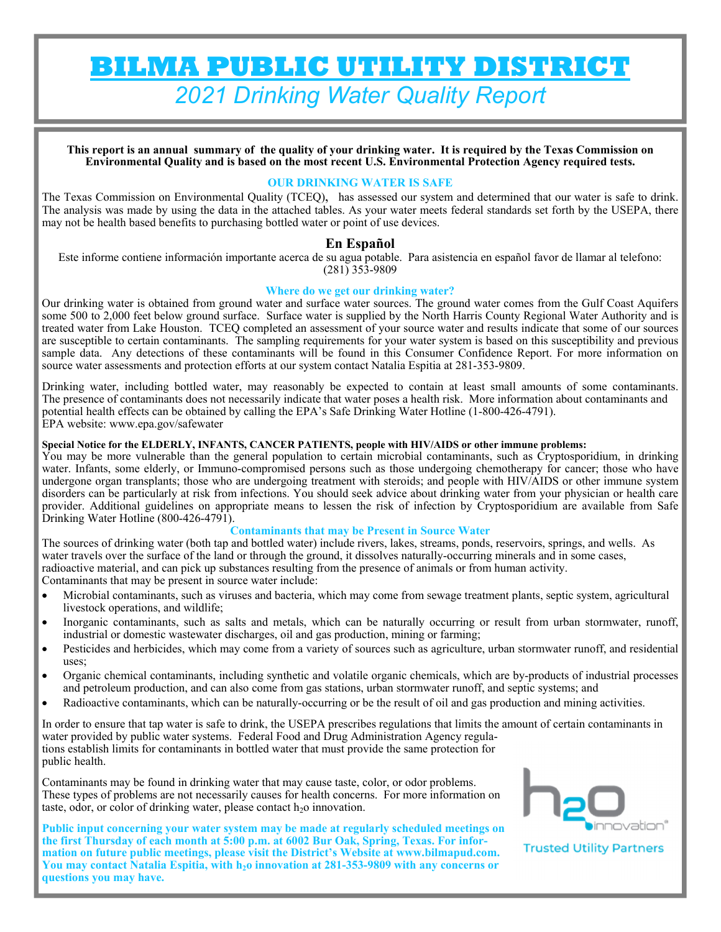# **BILMA PUBLIC UTILITY DISTRICT**  *2021 Drinking Water Quality Report*

**This report is an annual summary of the quality of your drinking water. It is required by the Texas Commission on Environmental Quality and is based on the most recent U.S. Environmental Protection Agency required tests.** 

#### **OUR DRINKING WATER IS SAFE**

The Texas Commission on Environmental Quality (TCEQ), has assessed our system and determined that our water is safe to drink. The analysis was made by using the data in the attached tables. As your water meets federal standards set forth by the USEPA, there may not be health based benefits to purchasing bottled water or point of use devices.

## **En Español**

Este informe contiene información importante acerca de su agua potable. Para asistencia en español favor de llamar al telefono: (281) 353-9809

#### **Where do we get our drinking water?**

Our drinking water is obtained from ground water and surface water sources. The ground water comes from the Gulf Coast Aquifers some 500 to 2,000 feet below ground surface. Surface water is supplied by the North Harris County Regional Water Authority and is treated water from Lake Houston. TCEQ completed an assessment of your source water and results indicate that some of our sources are susceptible to certain contaminants. The sampling requirements for your water system is based on this susceptibility and previous sample data. Any detections of these contaminants will be found in this Consumer Confidence Report. For more information on source water assessments and protection efforts at our system contact Natalia Espitia at 281-353-9809.

Drinking water, including bottled water, may reasonably be expected to contain at least small amounts of some contaminants. The presence of contaminants does not necessarily indicate that water poses a health risk. More information about contaminants and potential health effects can be obtained by calling the EPA's Safe Drinking Water Hotline (1-800-426-4791). EPA website: www.epa.gov/safewater

#### **Special Notice for the ELDERLY, INFANTS, CANCER PATIENTS, people with HIV/AIDS or other immune problems:**

You may be more vulnerable than the general population to certain microbial contaminants, such as Cryptosporidium, in drinking water. Infants, some elderly, or Immuno-compromised persons such as those undergoing chemotherapy for cancer; those who have undergone organ transplants; those who are undergoing treatment with steroids; and people with HIV/AIDS or other immune system disorders can be particularly at risk from infections. You should seek advice about drinking water from your physician or health care provider. Additional guidelines on appropriate means to lessen the risk of infection by Cryptosporidium are available from Safe Drinking Water Hotline (800-426-4791).

#### **Contaminants that may be Present in Source Water**

The sources of drinking water (both tap and bottled water) include rivers, lakes, streams, ponds, reservoirs, springs, and wells. As water travels over the surface of the land or through the ground, it dissolves naturally-occurring minerals and in some cases, radioactive material, and can pick up substances resulting from the presence of animals or from human activity. Contaminants that may be present in source water include:

- Microbial contaminants, such as viruses and bacteria, which may come from sewage treatment plants, septic system, agricultural livestock operations, and wildlife;
- Inorganic contaminants, such as salts and metals, which can be naturally occurring or result from urban stormwater, runoff, industrial or domestic wastewater discharges, oil and gas production, mining or farming;
- Pesticides and herbicides, which may come from a variety of sources such as agriculture, urban stormwater runoff, and residential uses;
- Organic chemical contaminants, including synthetic and volatile organic chemicals, which are by-products of industrial processes and petroleum production, and can also come from gas stations, urban stormwater runoff, and septic systems; and
- Radioactive contaminants, which can be naturally-occurring or be the result of oil and gas production and mining activities.

In order to ensure that tap water is safe to drink, the USEPA prescribes regulations that limits the amount of certain contaminants in water provided by public water systems. Federal Food and Drug Administration Agency regulations establish limits for contaminants in bottled water that must provide the same protection for public health.

Contaminants may be found in drinking water that may cause taste, color, or odor problems. These types of problems are not necessarily causes for health concerns. For more information on taste, odor, or color of drinking water, please contact  $h<sub>2</sub>$  innovation.

**Public input concerning your water system may be made at regularly scheduled meetings on the first Thursday of each month at 5:00 p.m. at 6002 Bur Oak, Spring, Texas. For information on future public meetings, please visit the District's Website at www.bilmapud.com.**  You may contact Natalia Espitia, with h<sub>2</sub>o innovation at 281-353-9809 with any concerns or **questions you may have.** 



**Trusted Utility Partners**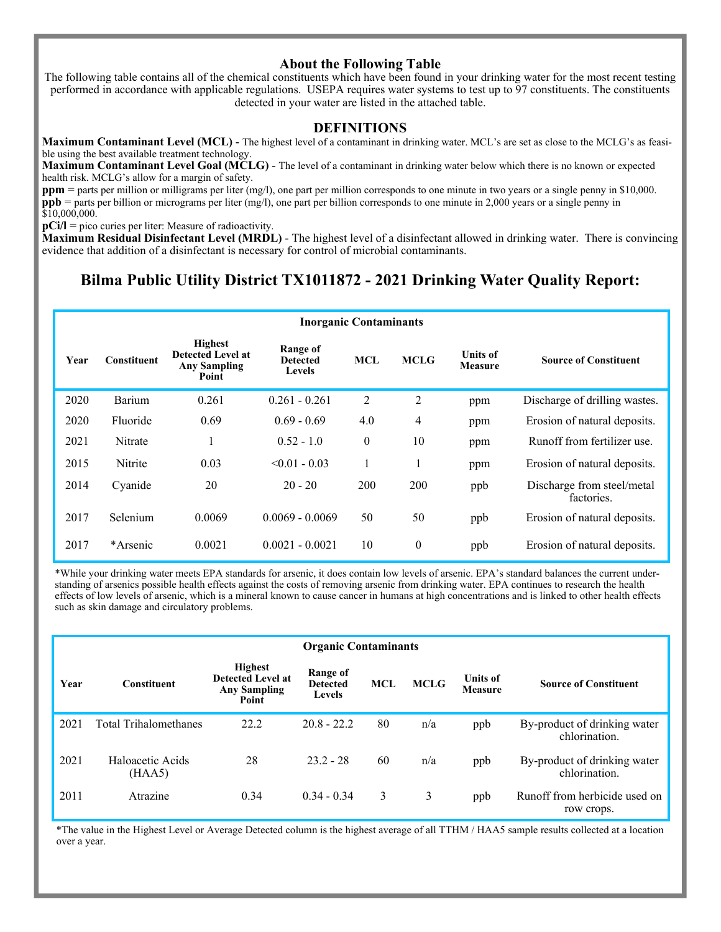## **About the Following Table**

The following table contains all of the chemical constituents which have been found in your drinking water for the most recent testing performed in accordance with applicable regulations. USEPA requires water systems to test up to 97 constituents. The constituents detected in your water are listed in the attached table.

#### **DEFINITIONS**

**Maximum Contaminant Level (MCL)** - The highest level of a contaminant in drinking water. MCL's are set as close to the MCLG's as feasible using the best available treatment technology.

**Maximum Contaminant Level Goal (MCLG)** - The level of a contaminant in drinking water below which there is no known or expected health risk. MCLG's allow for a margin of safety.

**ppm** = parts per million or milligrams per liter (mg/l), one part per million corresponds to one minute in two years or a single penny in \$10,000. **ppb** = parts per billion or micrograms per liter (mg/l), one part per billion corresponds to one minute in 2,000 years or a single penny in \$10,000,000.

**pCi/l** = pico curies per liter: Measure of radioactivity.

**Maximum Residual Disinfectant Level (MRDL)** - The highest level of a disinfectant allowed in drinking water. There is convincing evidence that addition of a disinfectant is necessary for control of microbial contaminants.

# **Bilma Public Utility District TX1011872 - 2021 Drinking Water Quality Report:**

|      | <b>Inorganic Contaminants</b> |                                                                            |                                              |            |                  |                                   |                                          |  |  |  |  |
|------|-------------------------------|----------------------------------------------------------------------------|----------------------------------------------|------------|------------------|-----------------------------------|------------------------------------------|--|--|--|--|
| Year | <b>Constituent</b>            | <b>Highest</b><br><b>Detected Level at</b><br><b>Any Sampling</b><br>Point | Range of<br><b>Detected</b><br><b>Levels</b> | <b>MCL</b> | <b>MCLG</b>      | <b>Units of</b><br><b>Measure</b> | <b>Source of Constituent</b>             |  |  |  |  |
| 2020 | Barium                        | 0.261                                                                      | $0.261 - 0.261$                              | 2          | $\overline{2}$   | ppm                               | Discharge of drilling wastes.            |  |  |  |  |
| 2020 | Fluoride                      | 0.69                                                                       | $0.69 - 0.69$                                | 4.0        | 4                | ppm                               | Erosion of natural deposits.             |  |  |  |  |
| 2021 | Nitrate                       |                                                                            | $0.52 - 1.0$                                 | $\theta$   | 10               | ppm                               | Runoff from fertilizer use.              |  |  |  |  |
| 2015 | Nitrite                       | 0.03                                                                       | $< 0.01 - 0.03$                              | Ι.         | Ι.               | ppm                               | Erosion of natural deposits.             |  |  |  |  |
| 2014 | Cyanide                       | 20                                                                         | $20 - 20$                                    | 200        | 200              | ppb                               | Discharge from steel/metal<br>factories. |  |  |  |  |
| 2017 | Selenium                      | 0.0069                                                                     | $0.0069 - 0.0069$                            | 50         | 50               | ppb                               | Erosion of natural deposits.             |  |  |  |  |
| 2017 | *Arsenic*                     | 0.0021                                                                     | $0.0021 - 0.0021$                            | 10         | $\boldsymbol{0}$ | ppb                               | Erosion of natural deposits.             |  |  |  |  |

\*While your drinking water meets EPA standards for arsenic, it does contain low levels of arsenic. EPA's standard balances the current understanding of arsenics possible health effects against the costs of removing arsenic from drinking water. EPA continues to research the health effects of low levels of arsenic, which is a mineral known to cause cancer in humans at high concentrations and is linked to other health effects such as skin damage and circulatory problems.

|      | <b>Organic Contaminants</b>  |                                                                            |                                       |            |             |                            |                                               |  |  |  |  |
|------|------------------------------|----------------------------------------------------------------------------|---------------------------------------|------------|-------------|----------------------------|-----------------------------------------------|--|--|--|--|
| Year | <b>Constituent</b>           | <b>Highest</b><br><b>Detected Level at</b><br><b>Any Sampling</b><br>Point | Range of<br><b>Detected</b><br>Levels | <b>MCL</b> | <b>MCLG</b> | <b>Units of</b><br>Measure | <b>Source of Constituent</b>                  |  |  |  |  |
| 2021 | <b>Total Trihalomethanes</b> | 22.2                                                                       | $20.8 - 22.2$                         | 80         | n/a         | ppb                        | By-product of drinking water<br>chlorination. |  |  |  |  |
| 2021 | Haloacetic Acids<br>(HAA5)   | 28                                                                         | $23.2 - 28$                           | 60         | n/a         | ppb                        | By-product of drinking water<br>chlorination. |  |  |  |  |
| 2011 | Atrazine                     | 0.34                                                                       | $0.34 - 0.34$                         | 3          | 3           | ppb                        | Runoff from herbicide used on<br>row crops.   |  |  |  |  |

\*The value in the Highest Level or Average Detected column is the highest average of all TTHM / HAA5 sample results collected at a location over a year.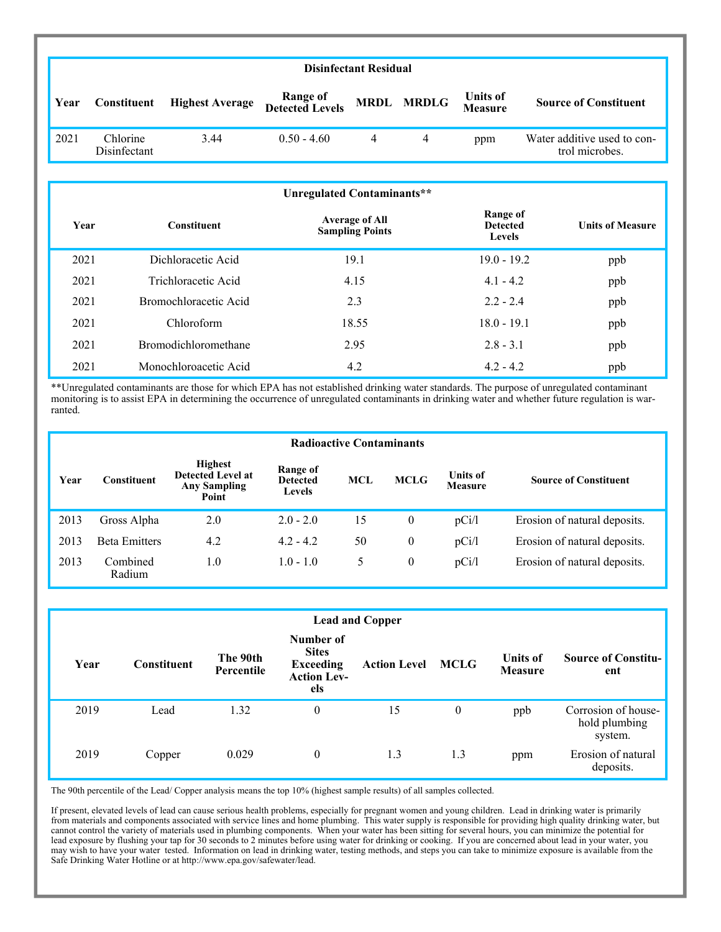|      | <b>Disinfectant Residual</b> |                        |                             |   |            |                                   |                                               |  |  |  |
|------|------------------------------|------------------------|-----------------------------|---|------------|-----------------------------------|-----------------------------------------------|--|--|--|
| Year | Constituent                  | <b>Highest Average</b> | Range of<br>Detected Levels |   | MRDL MRDLG | <b>Units of</b><br><b>Measure</b> | <b>Source of Constituent</b>                  |  |  |  |
| 2021 | Chlorine<br>Disinfectant     | 3.44                   | $0.50 - 4.60$               | 4 | 4          | ppm                               | Water additive used to con-<br>trol microbes. |  |  |  |
|      |                              |                        |                             |   |            |                                   |                                               |  |  |  |

|      | Unregulated Contaminants**  |                                                 |                                       |                         |  |  |  |  |  |  |  |
|------|-----------------------------|-------------------------------------------------|---------------------------------------|-------------------------|--|--|--|--|--|--|--|
| Year | <b>Constituent</b>          | <b>Average of All</b><br><b>Sampling Points</b> | Range of<br><b>Detected</b><br>Levels | <b>Units of Measure</b> |  |  |  |  |  |  |  |
| 2021 | Dichloracetic Acid          | 19.1                                            | $19.0 - 19.2$                         | ppb                     |  |  |  |  |  |  |  |
| 2021 | Trichloracetic Acid         | 4.15                                            | $4.1 - 4.2$                           | ppb                     |  |  |  |  |  |  |  |
| 2021 | Bromochloracetic Acid       | 2.3                                             | $2.2 - 2.4$                           | ppb                     |  |  |  |  |  |  |  |
| 2021 | Chloroform                  | 18.55                                           | $18.0 - 19.1$                         | ppb                     |  |  |  |  |  |  |  |
| 2021 | <b>Bromodichloromethane</b> | 2.95                                            | $2.8 - 3.1$                           | ppb                     |  |  |  |  |  |  |  |
| 2021 | Monochloroacetic Acid       | 4.2                                             | $4.2 - 4.2$                           | ppb                     |  |  |  |  |  |  |  |

\*\*Unregulated contaminants are those for which EPA has not established drinking water standards. The purpose of unregulated contaminant monitoring is to assist EPA in determining the occurrence of unregulated contaminants in drinking water and whether future regulation is warranted.

|      | <b>Radioactive Contaminants</b> |                                                                            |                                       |            |                |                                   |                              |  |  |  |  |
|------|---------------------------------|----------------------------------------------------------------------------|---------------------------------------|------------|----------------|-----------------------------------|------------------------------|--|--|--|--|
| Year | Constituent                     | <b>Highest</b><br><b>Detected Level at</b><br><b>Any Sampling</b><br>Point | Range of<br><b>Detected</b><br>Levels | <b>MCL</b> | <b>MCLG</b>    | <b>Units of</b><br><b>Measure</b> | <b>Source of Constituent</b> |  |  |  |  |
| 2013 | Gross Alpha                     | 2.0                                                                        | $2.0 - 2.0$                           | 15         | $\overline{0}$ | pCi/l                             | Erosion of natural deposits. |  |  |  |  |
| 2013 | <b>Beta Emitters</b>            | 4.2                                                                        | $4.2 - 4.2$                           | 50         | $\theta$       | pCi/l                             | Erosion of natural deposits. |  |  |  |  |
| 2013 | Combined<br>Radium              | 1.0                                                                        | $1.0 - 1.0$                           | 5          | $\mathbf{0}$   | pCi/l                             | Erosion of natural deposits. |  |  |  |  |

|      | <b>Lead and Copper</b> |                        |                                                                            |                     |             |                                   |                                                 |  |  |  |
|------|------------------------|------------------------|----------------------------------------------------------------------------|---------------------|-------------|-----------------------------------|-------------------------------------------------|--|--|--|
| Year | <b>Constituent</b>     | The 90th<br>Percentile | Number of<br><b>Sites</b><br><b>Exceeding</b><br><b>Action Lev-</b><br>els | <b>Action Level</b> | <b>MCLG</b> | <b>Units of</b><br><b>Measure</b> | <b>Source of Constitu-</b><br>ent               |  |  |  |
| 2019 | Lead                   | 1.32                   | $\boldsymbol{0}$                                                           | 15                  | $\theta$    | ppb                               | Corrosion of house-<br>hold plumbing<br>system. |  |  |  |
| 2019 | Copper                 | 0.029                  | $\boldsymbol{0}$                                                           | 1.3                 | 1.3         | ppm                               | Erosion of natural<br>deposits.                 |  |  |  |

The 90th percentile of the Lead/ Copper analysis means the top 10% (highest sample results) of all samples collected.

If present, elevated levels of lead can cause serious health problems, especially for pregnant women and young children. Lead in drinking water is primarily from materials and components associated with service lines and home plumbing. This water supply is responsible for providing high quality drinking water, but cannot control the variety of materials used in plumbing components. When your water has been sitting for several hours, you can minimize the potential for lead exposure by flushing your tap for 30 seconds to 2 minutes before using water for drinking or cooking. If you are concerned about lead in your water, you may wish to have your water tested. Information on lead in drinking water, testing methods, and steps you can take to minimize exposure is available from the Safe Drinking Water Hotline or at http://www.epa.gov/safewater/lead.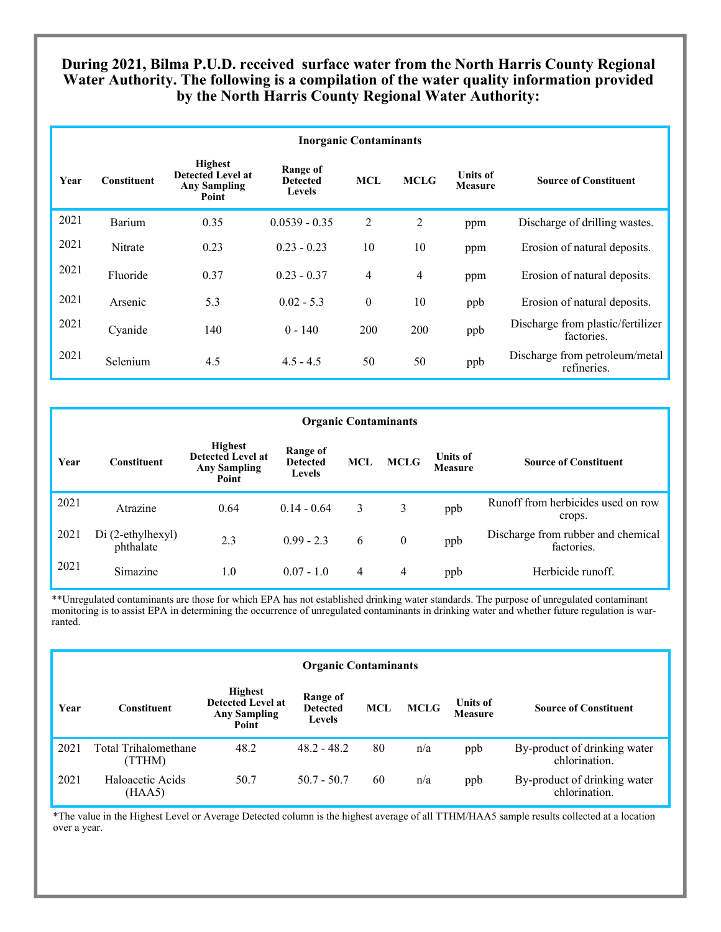# **During 2021, Bilma P.U.D. received surface water from the North Harris County Regional Water Authority. The following is a compilation of the water quality information provided by the North Harris County Regional Water Authority:**

|      | <b>Inorganic Contaminants</b> |                                                                            |                                              |                |                |                            |                                                 |  |  |  |  |
|------|-------------------------------|----------------------------------------------------------------------------|----------------------------------------------|----------------|----------------|----------------------------|-------------------------------------------------|--|--|--|--|
| Year | <b>Constituent</b>            | <b>Highest</b><br><b>Detected Level at</b><br><b>Any Sampling</b><br>Point | Range of<br><b>Detected</b><br><b>Levels</b> | <b>MCL</b>     | <b>MCLG</b>    | <b>Units of</b><br>Measure | <b>Source of Constituent</b>                    |  |  |  |  |
| 2021 | Barium                        | 0.35                                                                       | $0.0539 - 0.35$                              | 2              | 2              | ppm                        | Discharge of drilling wastes.                   |  |  |  |  |
| 2021 | Nitrate                       | 0.23                                                                       | $0.23 - 0.23$                                | 10             | 10             | ppm                        | Erosion of natural deposits.                    |  |  |  |  |
| 2021 | Fluoride                      | 0.37                                                                       | $0.23 - 0.37$                                | $\overline{4}$ | $\overline{4}$ | ppm                        | Erosion of natural deposits.                    |  |  |  |  |
| 2021 | Arsenic                       | 5.3                                                                        | $0.02 - 5.3$                                 | $\theta$       | 10             | ppb                        | Erosion of natural deposits.                    |  |  |  |  |
| 2021 | Cyanide                       | 140                                                                        | $0 - 140$                                    | 200            | 200            | ppb                        | Discharge from plastic/fertilizer<br>factories. |  |  |  |  |
| 2021 | Selenium                      | 4.5                                                                        | $4.5 - 4.5$                                  | 50             | 50             | ppb                        | Discharge from petroleum/metal<br>refineries.   |  |  |  |  |

|      | <b>Organic Contaminants</b>    |                                                                            |                                              |                |             |                                   |                                                  |  |  |  |  |
|------|--------------------------------|----------------------------------------------------------------------------|----------------------------------------------|----------------|-------------|-----------------------------------|--------------------------------------------------|--|--|--|--|
| Year | <b>Constituent</b>             | <b>Highest</b><br><b>Detected Level at</b><br><b>Any Sampling</b><br>Point | Range of<br><b>Detected</b><br><b>Levels</b> | <b>MCL</b>     | <b>MCLG</b> | <b>Units of</b><br><b>Measure</b> | <b>Source of Constituent</b>                     |  |  |  |  |
| 2021 | Atrazine                       | 0.64                                                                       | $0.14 - 0.64$                                | 3              | 3           | ppb                               | Runoff from herbicides used on row<br>crops.     |  |  |  |  |
| 2021 | Di (2-ethylhexyl)<br>phthalate | 2.3                                                                        | $0.99 - 2.3$                                 | 6              | $\theta$    | ppb                               | Discharge from rubber and chemical<br>factories. |  |  |  |  |
| 2021 | Simazine                       | 1.0                                                                        | $0.07 - 1.0$                                 | $\overline{4}$ | 4           | ppb                               | Herbicide runoff.                                |  |  |  |  |

\*\*Unregulated contaminants are those for which EPA has not established drinking water standards. The purpose of unregulated contaminant monitoring is to assist EPA in determining the occurrence of unregulated contaminants in drinking water and whether future regulation is warranted.

|      | <b>Organic Contaminants</b>    |                                                                            |                                              |            |             |                            |                                               |  |  |  |
|------|--------------------------------|----------------------------------------------------------------------------|----------------------------------------------|------------|-------------|----------------------------|-----------------------------------------------|--|--|--|
| Year | Constituent                    | <b>Highest</b><br><b>Detected Level at</b><br><b>Any Sampling</b><br>Point | Range of<br><b>Detected</b><br><b>Levels</b> | <b>MCL</b> | <b>MCLG</b> | <b>Units of</b><br>Measure | <b>Source of Constituent</b>                  |  |  |  |
| 2021 | Total Trihalomethane<br>(TTHM) | 48.2                                                                       | $48.2 - 48.2$                                | 80         | n/a         | ppb                        | By-product of drinking water<br>chlorination. |  |  |  |
| 2021 | Haloacetic Acids<br>(HAA5)     | 50.7                                                                       | $50.7 - 50.7$                                | 60         | n/a         | ppb                        | By-product of drinking water<br>chlorination. |  |  |  |

\*The value in the Highest Level or Average Detected column is the highest average of all TTHM/HAA5 sample results collected at a location over a year.